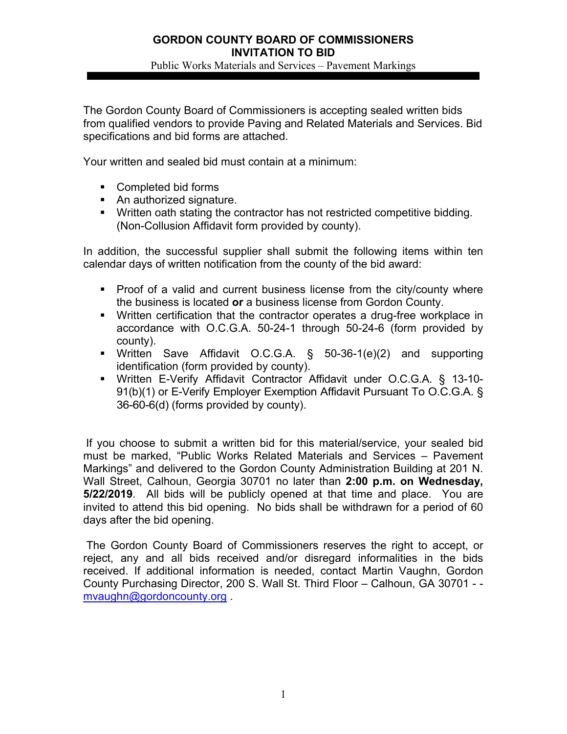Public Works Materials and Services – Pavement Markings

The Gordon County Board of Commissioners is accepting sealed written bids from qualified vendors to provide Paving and Related Materials and Services. Bid specifications and bid forms are attached.

Your written and sealed bid must contain at a minimum:

- Completed bid forms
- An authorized signature.
- Written oath stating the contractor has not restricted competitive bidding. (Non-Collusion Affidavit form provided by county).

In addition, the successful supplier shall submit the following items within ten calendar days of written notification from the county of the bid award:

- **Proof of a valid and current business license from the city/county where** the business is located **or** a business license from Gordon County.
- Written certification that the contractor operates a drug-free workplace in accordance with O.C.G.A. 50-24-1 through 50-24-6 (form provided by county).
- Written Save Affidavit O.C.G.A. § 50-36-1(e)(2) and supporting identification (form provided by county).
- Written E-Verify Affidavit Contractor Affidavit under O.C.G.A. § 13-10- 91(b)(1) or E-Verify Employer Exemption Affidavit Pursuant To O.C.G.A. § 36-60-6(d) (forms provided by county).

If you choose to submit a written bid for this material/service, your sealed bid must be marked, "Public Works Related Materials and Services – Pavement Markings" and delivered to the Gordon County Administration Building at 201 N. Wall Street, Calhoun, Georgia 30701 no later than **2:00 p.m. on Wednesday, 5/22/2019**. All bids will be publicly opened at that time and place. You are invited to attend this bid opening. No bids shall be withdrawn for a period of 60 days after the bid opening.

 The Gordon County Board of Commissioners reserves the right to accept, or reject, any and all bids received and/or disregard informalities in the bids received. If additional information is needed, contact Martin Vaughn, Gordon County Purchasing Director, 200 S. Wall St. Third Floor – Calhoun, GA 30701 - mvaughn@gordoncounty.org .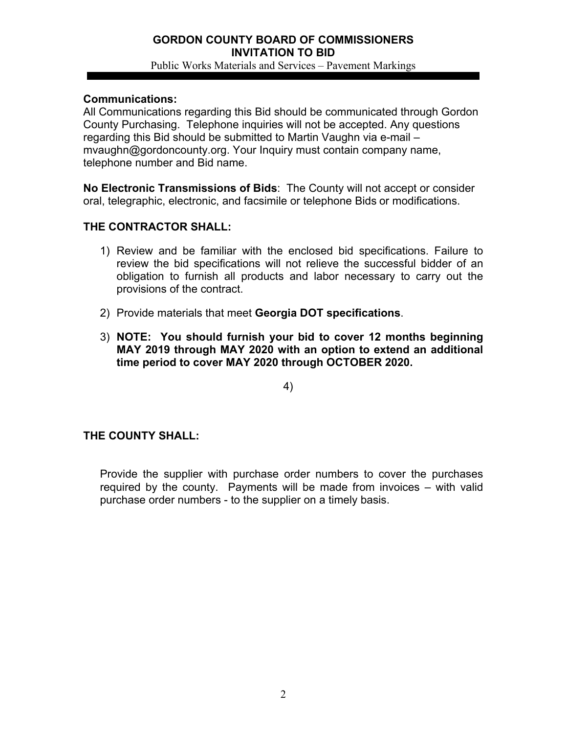#### **GORDON COUNTY BOARD OF COMMISSIONERS INVITATION TO BID**  Public Works Materials and Services – Pavement Markings

#### **Communications:**

All Communications regarding this Bid should be communicated through Gordon County Purchasing. Telephone inquiries will not be accepted. Any questions regarding this Bid should be submitted to Martin Vaughn via e-mail – mvaughn@gordoncounty.org. Your Inquiry must contain company name, telephone number and Bid name.

**No Electronic Transmissions of Bids**: The County will not accept or consider oral, telegraphic, electronic, and facsimile or telephone Bids or modifications.

# **THE CONTRACTOR SHALL:**

- 1) Review and be familiar with the enclosed bid specifications. Failure to review the bid specifications will not relieve the successful bidder of an obligation to furnish all products and labor necessary to carry out the provisions of the contract.
- 2) Provide materials that meet **Georgia DOT specifications**.
- 3) **NOTE: You should furnish your bid to cover 12 months beginning MAY 2019 through MAY 2020 with an option to extend an additional time period to cover MAY 2020 through OCTOBER 2020.**

4)

# **THE COUNTY SHALL:**

Provide the supplier with purchase order numbers to cover the purchases required by the county. Payments will be made from invoices – with valid purchase order numbers - to the supplier on a timely basis.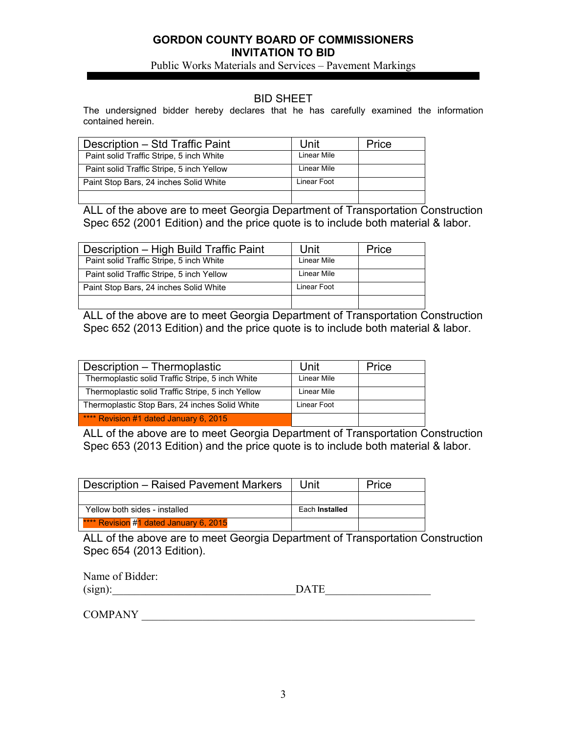Public Works Materials and Services – Pavement Markings

#### BID SHEET

The undersigned bidder hereby declares that he has carefully examined the information contained herein.

| Description - Std Traffic Paint           | Unit        | Price |
|-------------------------------------------|-------------|-------|
| Paint solid Traffic Stripe, 5 inch White  | Linear Mile |       |
| Paint solid Traffic Stripe, 5 inch Yellow | Linear Mile |       |
| Paint Stop Bars, 24 inches Solid White    | Linear Foot |       |
|                                           |             |       |

ALL of the above are to meet Georgia Department of Transportation Construction Spec 652 (2001 Edition) and the price quote is to include both material & labor.

| Description - High Build Traffic Paint    | Unit        | Price |
|-------------------------------------------|-------------|-------|
| Paint solid Traffic Stripe, 5 inch White  | Linear Mile |       |
| Paint solid Traffic Stripe, 5 inch Yellow | Linear Mile |       |
| Paint Stop Bars, 24 inches Solid White    | Linear Foot |       |
|                                           |             |       |

ALL of the above are to meet Georgia Department of Transportation Construction Spec 652 (2013 Edition) and the price quote is to include both material & labor.

| Description - Thermoplastic                       | Unit        | Price |
|---------------------------------------------------|-------------|-------|
| Thermoplastic solid Traffic Stripe, 5 inch White  | Linear Mile |       |
| Thermoplastic solid Traffic Stripe, 5 inch Yellow | Linear Mile |       |
| Thermoplastic Stop Bars, 24 inches Solid White    | Linear Foot |       |
| **** Revision #1 dated January 6, 2015            |             |       |

ALL of the above are to meet Georgia Department of Transportation Construction Spec 653 (2013 Edition) and the price quote is to include both material & labor.

| <b>Description - Raised Pavement Markers</b> | Unit           | Price |
|----------------------------------------------|----------------|-------|
|                                              |                |       |
| Yellow both sides - installed                | Each Installed |       |
| **** Revision #1 dated January 6, 2015       |                |       |

ALL of the above are to meet Georgia Department of Transportation Construction Spec 654 (2013 Edition).

Name of Bidder:

 $(Sign):$   $\blacksquare$   $\blacksquare$   $\blacksquare$   $\blacksquare$   $\blacksquare$   $\blacksquare$   $\blacksquare$   $\blacksquare$   $\blacksquare$   $\blacksquare$   $\blacksquare$   $\blacksquare$   $\blacksquare$   $\blacksquare$   $\blacksquare$   $\blacksquare$   $\blacksquare$   $\blacksquare$   $\blacksquare$   $\blacksquare$   $\blacksquare$   $\blacksquare$   $\blacksquare$   $\blacksquare$   $\blacksquare$   $\blacksquare$   $\blacksquare$   $\blacksquare$   $\blacksquare$   $\blacksquare$   $\blacksquare$ 

COMPANY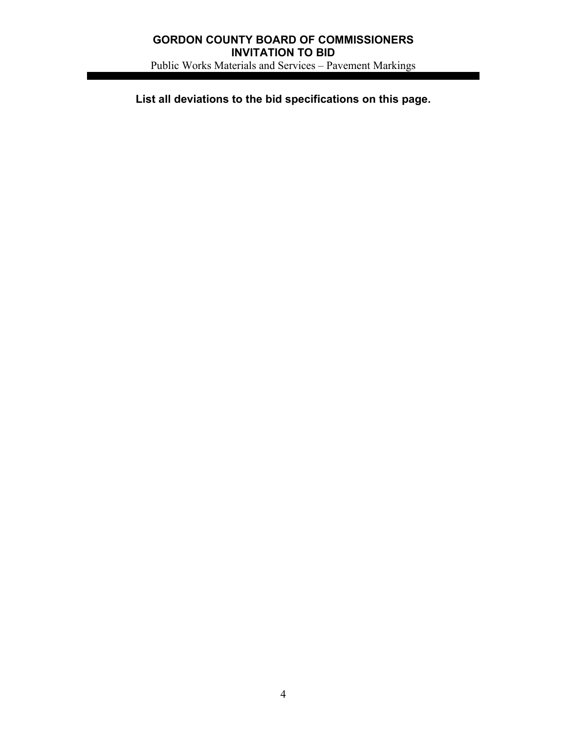# **GORDON COUNTY BOARD OF COMMISSIONERS INVITATION TO BID**  Public Works Materials and Services – Pavement Markings

**List all deviations to the bid specifications on this page.**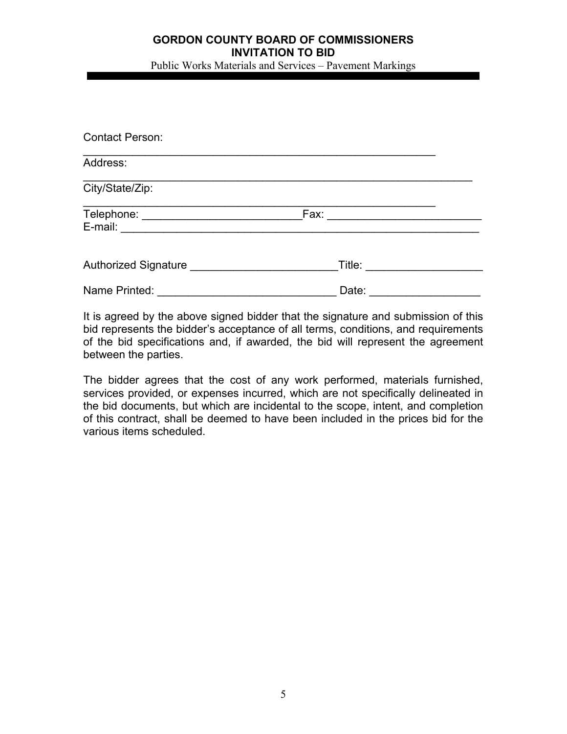Public Works Materials and Services – Pavement Markings

| <b>Contact Person:</b>  |        |  |
|-------------------------|--------|--|
| Address:                |        |  |
| City/State/Zip:         |        |  |
| E-mail: $\qquad \qquad$ | Fax:   |  |
| Authorized Signature    | Title: |  |
| Name Printed:           | Date:  |  |

It is agreed by the above signed bidder that the signature and submission of this bid represents the bidder's acceptance of all terms, conditions, and requirements of the bid specifications and, if awarded, the bid will represent the agreement between the parties.

The bidder agrees that the cost of any work performed, materials furnished, services provided, or expenses incurred, which are not specifically delineated in the bid documents, but which are incidental to the scope, intent, and completion of this contract, shall be deemed to have been included in the prices bid for the various items scheduled.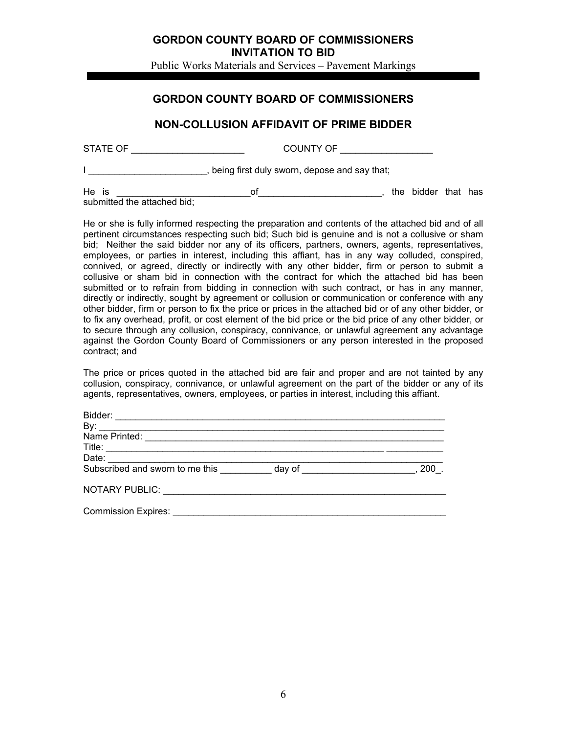Public Works Materials and Services – Pavement Markings

# **GORDON COUNTY BOARD OF COMMISSIONERS**

# **NON-COLLUSION AFFIDAVIT OF PRIME BIDDER**

| STATE OF | COUNTY OF                                    |
|----------|----------------------------------------------|
|          | being first duly sworn, depose and say that; |

He is \_\_\_\_\_\_\_\_\_\_\_\_\_\_\_\_\_\_\_\_\_\_\_\_\_\_of\_\_\_\_\_\_\_\_\_\_\_\_\_\_\_\_\_\_\_\_\_\_\_\_, the bidder that has submitted the attached bid;

He or she is fully informed respecting the preparation and contents of the attached bid and of all pertinent circumstances respecting such bid; Such bid is genuine and is not a collusive or sham bid; Neither the said bidder nor any of its officers, partners, owners, agents, representatives, employees, or parties in interest, including this affiant, has in any way colluded, conspired, connived, or agreed, directly or indirectly with any other bidder, firm or person to submit a collusive or sham bid in connection with the contract for which the attached bid has been submitted or to refrain from bidding in connection with such contract, or has in any manner, directly or indirectly, sought by agreement or collusion or communication or conference with any other bidder, firm or person to fix the price or prices in the attached bid or of any other bidder, or to fix any overhead, profit, or cost element of the bid price or the bid price of any other bidder, or to secure through any collusion, conspiracy, connivance, or unlawful agreement any advantage against the Gordon County Board of Commissioners or any person interested in the proposed contract; and

The price or prices quoted in the attached bid are fair and proper and are not tainted by any collusion, conspiracy, connivance, or unlawful agreement on the part of the bidder or any of its agents, representatives, owners, employees, or parties in interest, including this affiant.

| By:                             |                               |     |
|---------------------------------|-------------------------------|-----|
|                                 |                               |     |
|                                 |                               |     |
|                                 |                               |     |
| Subscribed and sworn to me this | day of ______________________ | 200 |
|                                 |                               |     |
|                                 |                               |     |
|                                 |                               |     |
| <b>Commission Expires:</b>      |                               |     |